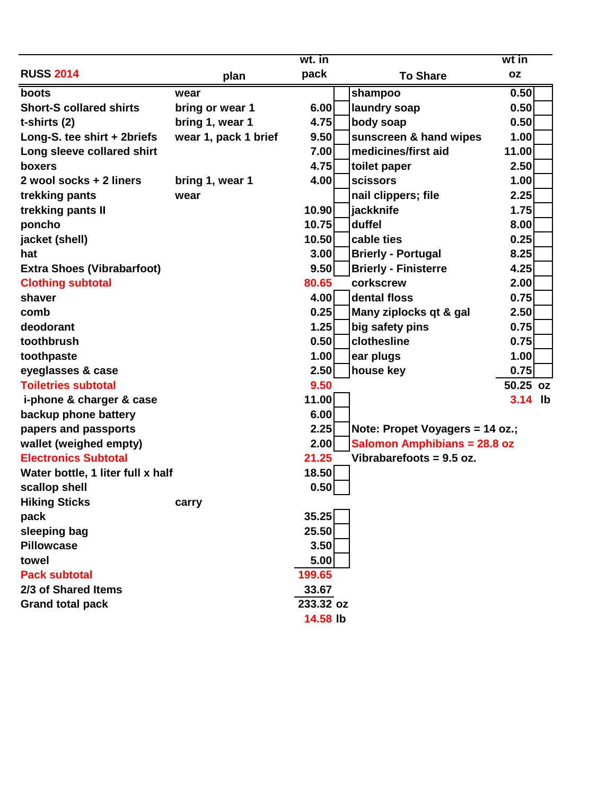|                                   |                      | wt. in    |                                     | wt in     |  |
|-----------------------------------|----------------------|-----------|-------------------------------------|-----------|--|
| <b>RUSS 2014</b>                  | plan                 | pack      | <b>To Share</b>                     | <b>OZ</b> |  |
| boots                             | wear                 |           | shampoo                             | 0.50      |  |
| <b>Short-S collared shirts</b>    | bring or wear 1      | 6.00      | laundry soap                        | 0.50      |  |
| t-shirts (2)                      | bring 1, wear 1      | 4.75      | body soap                           | 0.50      |  |
| Long-S. tee shirt + 2briefs       | wear 1, pack 1 brief | 9.50      | sunscreen & hand wipes              | 1.00      |  |
| Long sleeve collared shirt        |                      | 7.00      | medicines/first aid                 | 11.00     |  |
| boxers                            |                      | 4.75      | toilet paper                        | 2.50      |  |
| 2 wool socks + 2 liners           | bring 1, wear 1      | 4.00      | <b>scissors</b>                     | 1.00      |  |
| trekking pants                    | wear                 |           | nail clippers; file                 | 2.25      |  |
| trekking pants II                 |                      | 10.90     | jackknife                           | 1.75      |  |
| poncho                            |                      | 10.75     | duffel                              | 8.00      |  |
| jacket (shell)                    |                      | 10.50     | cable ties                          | 0.25      |  |
| hat                               |                      | 3.00      | <b>Brierly - Portugal</b>           | 8.25      |  |
| <b>Extra Shoes (Vibrabarfoot)</b> |                      | 9.50      | <b>Brierly - Finisterre</b>         | 4.25      |  |
| <b>Clothing subtotal</b>          |                      | 80.65     | corkscrew                           | 2.00      |  |
| shaver                            |                      | 4.00      | dental floss                        | 0.75      |  |
| comb                              |                      | 0.25      | Many ziplocks qt & gal              | 2.50      |  |
| deodorant                         |                      | 1.25      | big safety pins                     | 0.75      |  |
| toothbrush                        |                      | 0.50      | clothesline                         | 0.75      |  |
| toothpaste                        |                      | 1.00      | ear plugs                           | 1.00      |  |
| eyeglasses & case                 |                      | 2.50      | house key                           | 0.75      |  |
| <b>Toiletries subtotal</b>        |                      | 9.50      |                                     | 50.25 oz  |  |
| i-phone & charger & case          |                      | 11.00     |                                     | 3.14 lb   |  |
| backup phone battery              |                      | 6.00      |                                     |           |  |
| papers and passports              |                      | 2.25      | Note: Propet Voyagers = 14 oz.;     |           |  |
| wallet (weighed empty)            |                      | 2.00      | <b>Salomon Amphibians = 28.8 oz</b> |           |  |
| <b>Electronics Subtotal</b>       |                      | 21.25     | Vibrabarefoots = 9.5 oz.            |           |  |
| Water bottle, 1 liter full x half |                      | 18.50     |                                     |           |  |
| scallop shell                     |                      | 0.50      |                                     |           |  |
| <b>Hiking Sticks</b>              | carry                |           |                                     |           |  |
| pack                              |                      | 35.25     |                                     |           |  |
| sleeping bag                      |                      | 25.50     |                                     |           |  |
| <b>Pillowcase</b>                 |                      | 3.50      |                                     |           |  |
| towel                             |                      | 5.00      |                                     |           |  |
| <b>Pack subtotal</b>              |                      | 199.65    |                                     |           |  |
| 2/3 of Shared Items               |                      | 33.67     |                                     |           |  |
| <b>Grand total pack</b>           |                      | 233.32 oz |                                     |           |  |
|                                   |                      | 14.58 lb  |                                     |           |  |